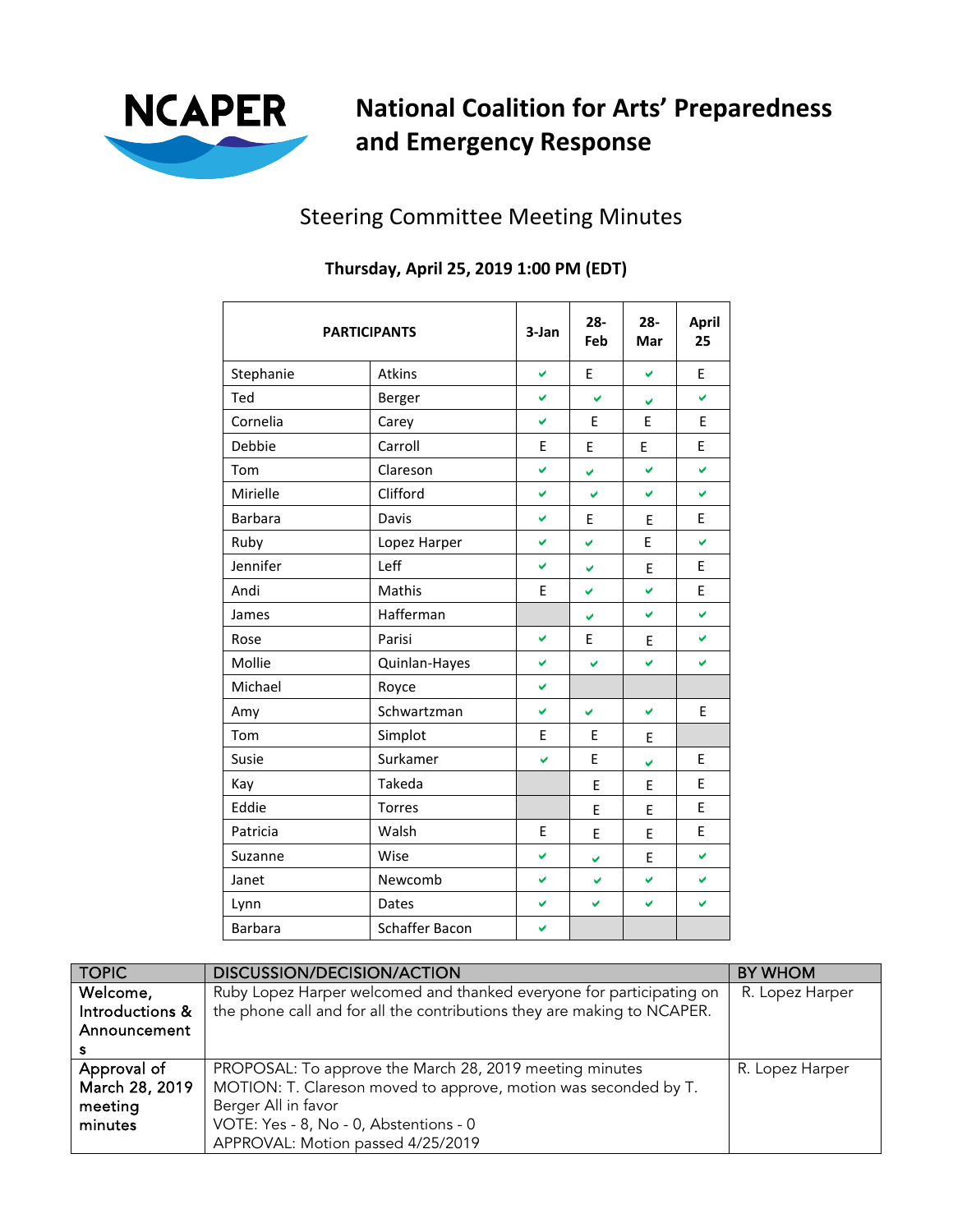

## **National Coalition for Arts' Preparedness and Emergency Response**

## Steering Committee Meeting Minutes

| <b>PARTICIPANTS</b> |                | 3-Jan | $28 -$<br>Feb | $28 -$<br>Mar | <b>April</b><br>25 |
|---------------------|----------------|-------|---------------|---------------|--------------------|
| Stephanie           | Atkins         | V     | E             | V             | E                  |
| Ted                 | Berger         | V     | V             | V             | V                  |
| Cornelia            | Carey          | V     | E             | E             | E                  |
| Debbie              | Carroll        | E     | E             | E             | E                  |
| Tom                 | Clareson       | V     | ✓             | V             | V                  |
| Mirielle            | Clifford       | ✓     | Ø             | V             | V                  |
| Barbara             | Davis          | ✓     | E             | E             | E                  |
| Ruby                | Lopez Harper   | ✓     | V             | E             | V                  |
| Jennifer            | Leff           | V     | V             | E             | E                  |
| Andi                | Mathis         | E     | V             | V             | E.                 |
| James               | Hafferman      |       | V             | V             | V                  |
| Rose                | Parisi         | V     | E             | E             | V                  |
| Mollie              | Quinlan-Hayes  | V     | ✔             | V             | ✔                  |
| Michael             | Royce          | V     |               |               |                    |
| Amy                 | Schwartzman    | V     | V             | V             | E                  |
| Tom                 | Simplot        | E     | E             | E             |                    |
| Susie               | Surkamer       | Ō.    | E             | V             | E                  |
| Kay                 | Takeda         |       | E             | E             | E                  |
| Eddie               | Torres         |       | E             | E             | E                  |
| Patricia            | Walsh          | E     | E             | E             | E                  |
| Suzanne             | Wise           | ✓     | ✔             | E             | V                  |
| Janet               | Newcomb        | ✓     | V             | V             | ✔                  |
| Lynn                | Dates          | V     | V             | V             | V                  |
| Barbara             | Schaffer Bacon | V     |               |               |                    |

## **Thursday, April 25, 2019 1:00 PM (EDT)**

| <b>TOPIC</b>    | <b>DISCUSSION/DECISION/ACTION</b>                                       | BY WHOM         |
|-----------------|-------------------------------------------------------------------------|-----------------|
| Welcome,        | Ruby Lopez Harper welcomed and thanked everyone for participating on    | R. Lopez Harper |
| Introductions & | the phone call and for all the contributions they are making to NCAPER. |                 |
| Announcement    |                                                                         |                 |
|                 |                                                                         |                 |
| Approval of     | PROPOSAL: To approve the March 28, 2019 meeting minutes                 | R. Lopez Harper |
| March 28, 2019  | MOTION: T. Clareson moved to approve, motion was seconded by T.         |                 |
| meeting         | Berger All in favor                                                     |                 |
| minutes         | VOTE: Yes - 8, No - 0, Abstentions - 0                                  |                 |
|                 | APPROVAL: Motion passed 4/25/2019                                       |                 |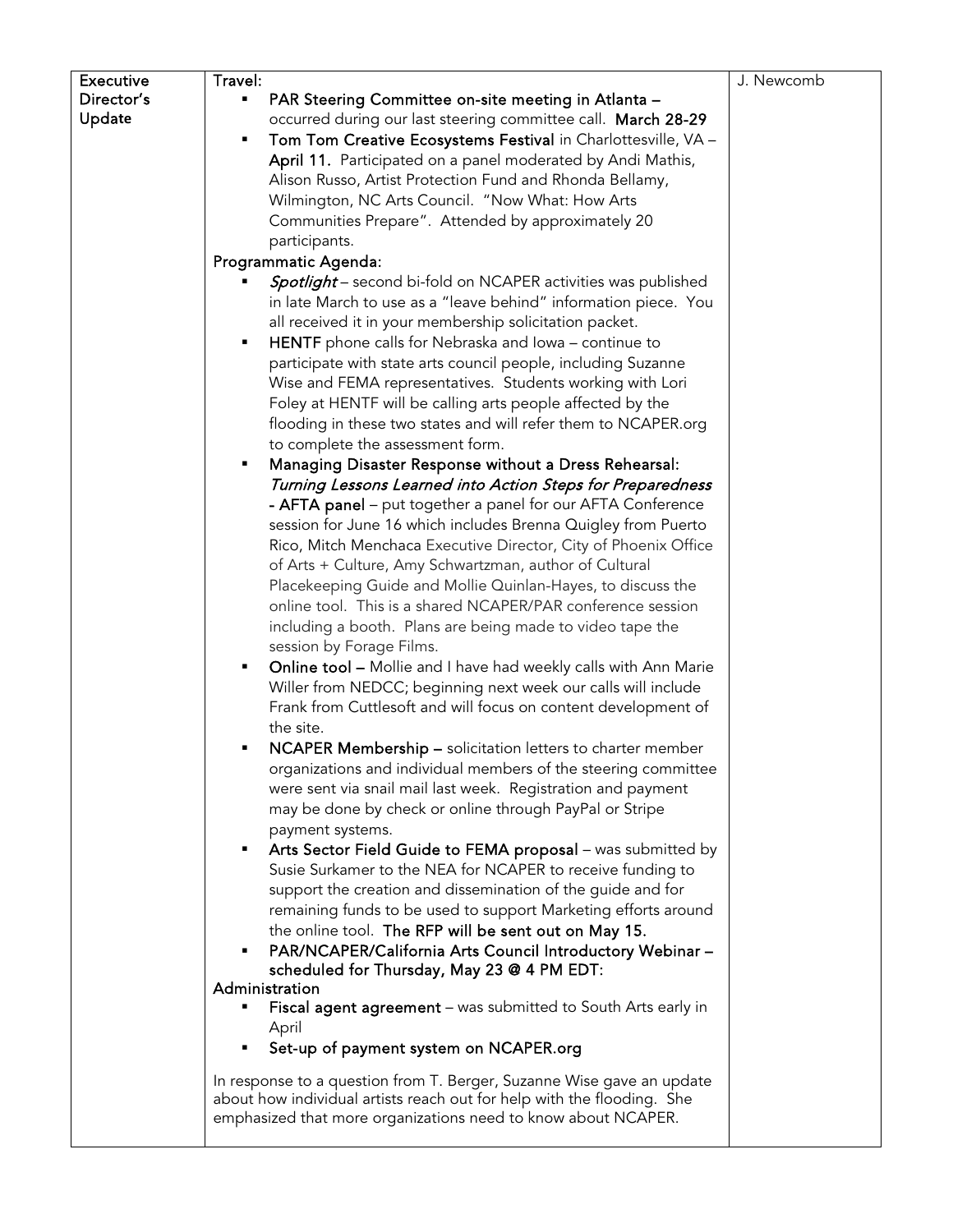| <b>Executive</b> | Travel:                                                                | J. Newcomb |
|------------------|------------------------------------------------------------------------|------------|
| Director's       | PAR Steering Committee on-site meeting in Atlanta -                    |            |
| Update           | occurred during our last steering committee call. March 28-29          |            |
|                  | Tom Tom Creative Ecosystems Festival in Charlottesville, VA -<br>٠     |            |
|                  | April 11. Participated on a panel moderated by Andi Mathis,            |            |
|                  | Alison Russo, Artist Protection Fund and Rhonda Bellamy,               |            |
|                  | Wilmington, NC Arts Council. "Now What: How Arts                       |            |
|                  | Communities Prepare". Attended by approximately 20                     |            |
|                  | participants.                                                          |            |
|                  | Programmatic Agenda:                                                   |            |
|                  | <b>Spotlight</b> – second bi-fold on NCAPER activities was published   |            |
|                  | in late March to use as a "leave behind" information piece. You        |            |
|                  | all received it in your membership solicitation packet.                |            |
|                  | HENTF phone calls for Nebraska and Iowa - continue to<br>٠             |            |
|                  | participate with state arts council people, including Suzanne          |            |
|                  | Wise and FEMA representatives. Students working with Lori              |            |
|                  | Foley at HENTF will be calling arts people affected by the             |            |
|                  | flooding in these two states and will refer them to NCAPER.org         |            |
|                  | to complete the assessment form.                                       |            |
|                  | Managing Disaster Response without a Dress Rehearsal:<br>٠             |            |
|                  | Turning Lessons Learned into Action Steps for Preparedness             |            |
|                  | - AFTA panel - put together a panel for our AFTA Conference            |            |
|                  | session for June 16 which includes Brenna Quigley from Puerto          |            |
|                  | Rico, Mitch Menchaca Executive Director, City of Phoenix Office        |            |
|                  | of Arts + Culture, Amy Schwartzman, author of Cultural                 |            |
|                  | Placekeeping Guide and Mollie Quinlan-Hayes, to discuss the            |            |
|                  | online tool. This is a shared NCAPER/PAR conference session            |            |
|                  | including a booth. Plans are being made to video tape the              |            |
|                  | session by Forage Films.                                               |            |
|                  | Online tool - Mollie and I have had weekly calls with Ann Marie<br>٠   |            |
|                  | Willer from NEDCC; beginning next week our calls will include          |            |
|                  | Frank from Cuttlesoft and will focus on content development of         |            |
|                  | the site.                                                              |            |
|                  | NCAPER Membership - solicitation letters to charter member<br>٠        |            |
|                  | organizations and individual members of the steering committee         |            |
|                  | were sent via snail mail last week. Registration and payment           |            |
|                  | may be done by check or online through PayPal or Stripe                |            |
|                  | payment systems.                                                       |            |
|                  | Arts Sector Field Guide to FEMA proposal - was submitted by<br>٠       |            |
|                  | Susie Surkamer to the NEA for NCAPER to receive funding to             |            |
|                  | support the creation and dissemination of the guide and for            |            |
|                  | remaining funds to be used to support Marketing efforts around         |            |
|                  | the online tool. The RFP will be sent out on May 15.                   |            |
|                  | PAR/NCAPER/California Arts Council Introductory Webinar -<br>٠         |            |
|                  | scheduled for Thursday, May 23 @ 4 PM EDT:<br>Administration           |            |
|                  | Fiscal agent agreement - was submitted to South Arts early in<br>٠     |            |
|                  | April                                                                  |            |
|                  | Set-up of payment system on NCAPER.org                                 |            |
|                  |                                                                        |            |
|                  | In response to a question from T. Berger, Suzanne Wise gave an update  |            |
|                  | about how individual artists reach out for help with the flooding. She |            |
|                  | emphasized that more organizations need to know about NCAPER.          |            |
|                  |                                                                        |            |